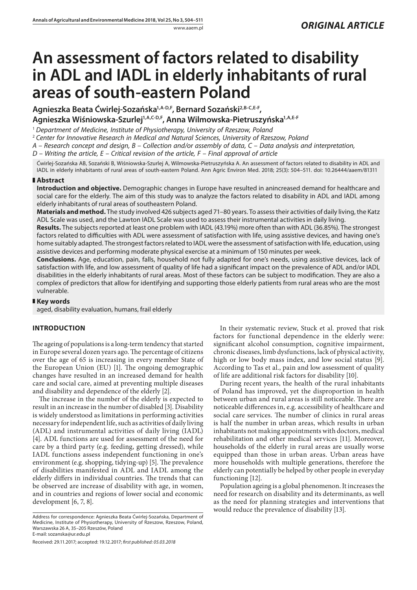# **An assessment of factors related to disability in ADL and IADL in elderly inhabitants of rural areas of south-eastern Poland**

**Agnieszka Beata Ćwirlej-Sozańska1,A-D,F, Bernard Sozański2,B-C,E-F, Agnieszka Wiśniowska-Szurlej1,A,C-D,F, Anna Wilmowska-Pietruszyńska1,A,E-F**

<sup>1</sup> *Department of Medicine, Institute of Physiotherapy, University of Rzeszow, Poland*

<sup>2</sup> *Center for Innovative Research in Medical and Natural Sciences, University of Rzeszow, Poland*

*A – Research concept and design, B – Collection and/or assembly of data, C – Data analysis and interpretation,* 

*D – Writing the article, E – Critical revision of the article, F – Final approval of article*

Ćwirlej-Sozańska AB, Sozański B, Wiśniowska-Szurlej A, Wilmowska-Pietruszyńska A. An assessment of factors related to disability in ADL and IADL in elderly inhabitants of rural areas of south-eastern Poland. Ann Agric Environ Med. 2018; 25(3): 504–511. doi: 10.26444/aaem/81311

#### **Abstract**

**Introduction and objective.** Demographic changes in Europe have resulted in anincreased demand for healthcare and social care for the elderly. The aim of this study was to analyze the factors related to disability in ADL and IADL among elderly inhabitants of rural areas of southeastern Poland.

**Materials and method.** The study involved 426 subjects aged 71–80 years. To assess their activities of daily living, the Katz ADL Scale was used, and the Lawton IADL Scale was used to assess their instrumental activities in daily living.

**Results.** The subjects reported at least one problem with IADL (43.19%) more often than with ADL (36.85%). The strongest factors related to difficulties with ADL were assessment of satisfaction with life, using assistive devices, and having one's home suitably adapted. The strongest factors related to IADL were the assessment of satisfaction with life, education, using assistive devices and performing moderate physical exercise at a minimum of 150 minutes per week.

**Conclusions.** Age, education, pain, falls, household not fully adapted for one's needs, using assistive devices, lack of satisfaction with life, and low assessment of quality of life had a significant impact on the prevalence of ADL and/or IADL disabilities in the elderly inhabitants of rural areas. Most of these factors can be subject to modification. They are also a complex of predictors that allow for identifying and supporting those elderly patients from rural areas who are the most vulnerable.

## **Key words**

aged, disability evaluation, humans, frail elderly

## **INTRODUCTION**

The ageing of populations is a long-term tendency that started in Europe several dozen years ago. The percentage of citizens over the age of 65 is increasing in every member State of the European Union (EU) [1]. The ongoing demographic changes have resulted in an increased demand for health care and social care, aimed at preventing multiple diseases and disability and dependence of the elderly [2].

The increase in the number of the elderly is expected to result in an increase in the number of disabled [3]. Disability is widely understood as limitations in performing activities necessary for independent life, such as activities of daily living (ADL) and instrumental activities of daily living (IADL) [4]. ADL functions are used for assessment of the need for care by a third party (e.g. feeding, getting dressed), while IADL functions assess independent functioning in one's environment (e.g. shopping, tidying-up) [5]. The prevalence of disabilities manifested in ADL and IADL among the elderly differs in individual countries. The trends that can be observed are increase of disability with age, in women, and in countries and regions of lower social and economic development [6, 7, 8].

Received: 29.11.2017; accepted: 19.12.2017; *first published: 05.03.2018*

In their systematic review, Stuck et al. proved that risk factors for functional dependence in the elderly were: significant alcohol consumption, cognitive impairment, chronic diseases, limb dysfunctions, lack of physical activity, high or low body mass index, and low social status [9]. According to Tas et al., pain and low assessment of quality of life are additional risk factors for disability [10].

During recent years, the health of the rural inhabitants of Poland has improved, yet the disproportion in health between urban and rural areas is still noticeable. There are noticeable differences in, e.g. accessibility of healthcare and social care services. The number of clinics in rural areas is half the number in urban areas, which results in urban inhabitants not making appointments with doctors, medical rehabilitation and other medical services [11]. Moreover, households of the elderly in rural areas are usually worse equipped than those in urban areas. Urban areas have more households with multiple generations, therefore the elderly can potentially be helped by other people in everyday functioning [12].

Population ageing is a global phenomenon. It increases the need for research on disability and its determinants, as well as the need for planning strategies and interventions that would reduce the prevalence of disability [13].

Address for correspondence: Agnieszka Beata Ćwirlej-Sozańska, Department of Medicine, Institute of Physiotherapy, University of Rzeszow, Rzeszow, Poland, Warszawska 26 A, 35–205 Rzeszów, Poland E-mail: sozanska@ur.edu.pl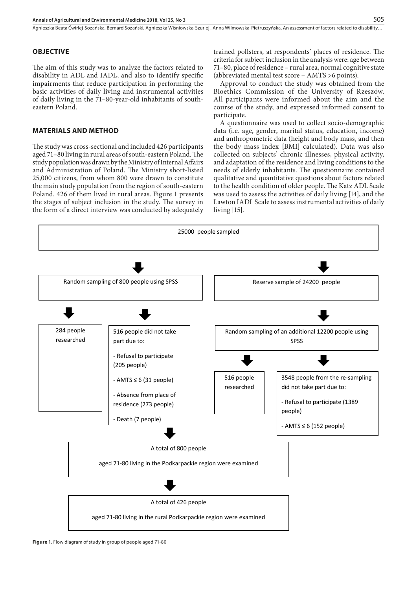## **OBJECTIVE**

The aim of this study was to analyze the factors related to disability in ADL and IADL, and also to identify specific impairments that reduce participation in performing the basic activities of daily living and instrumental activities of daily living in the 71–80-year-old inhabitants of southeastern Poland.

## **MATERIALS AND METHOD**

The study was cross-sectional and included 426 participants aged 71–80 living in rural areas of south-eastern Poland. The study population was drawn by the Ministry of Internal Affairs and Administration of Poland. The Ministry short-listed 25,000 citizens, from whom 800 were drawn to constitute the main study population from the region of south-eastern Poland. 426 of them lived in rural areas. Figure 1 presents the stages of subject inclusion in the study. The survey in the form of a direct interview was conducted by adequately living [15].

trained pollsters, at respondents' places of residence. The criteria for subject inclusion in the analysis were: age between 71–80, place of residence – rural area, normal cognitive state (abbreviated mental test score – AMTS >6 points).

Approval to conduct the study was obtained from the Bioethics Commission of the University of Rzeszów. All participants were informed about the aim and the course of the study, and expressed informed consent to participate.

A questionnaire was used to collect socio-demographic data (i.e. age, gender, marital status, education, income) and anthropometric data (height and body mass, and then the body mass index [BMI] calculated). Data was also collected on subjects' chronic illnesses, physical activity, and adaptation of the residence and living conditions to the needs of elderly inhabitants. The questionnaire contained qualitative and quantitative questions about factors related to the health condition of older people. The Katz ADL Scale was used to assess the activities of daily living [14], and the Lawton IADL Scale to assess instrumental activities of daily living [15].

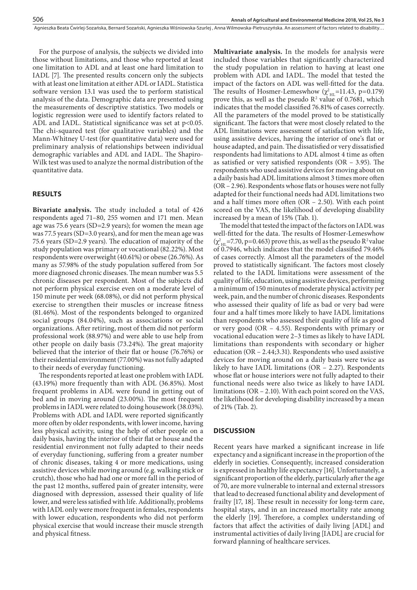For the purpose of analysis, the subjects we divided into those without limitations, and those who reported at least one limitation to ADL and at least one hard limitation to IADL [7]. The presented results concern only the subjects with at least one limitation at either ADL or IADL. Statistica software version 13.1 was used the to perform statistical analysis of the data. Demographic data are presented using the measurements of descriptive statistics. Two models or logistic regression were used to identify factors related to ADL and IADL. Statistical significance was set at p<0.05. The chi-squared test (for qualitative variables) and the Mann-Whitney U-test (for quantitative data) were used for preliminary analysis of relationships between individual demographic variables and ADL and IADL. The Shapiro-Wilk test was used to analyze the normal distribution of the quantitative data.

## **RESULTS**

**Bivariate analysis.** The study included a total of 426 respondents aged 71–80, 255 women and 171 men. Mean age was 75.6 years (SD=2.9 years); for women the mean age was 77.5 years (SD=3.0 years), and for men the mean age was 75.6 years (SD=2.9 years). The education of majority of the study population was primary or vocational (82.22%). Most respondents were overweight (40.61%) or obese (26.76%). As many as 57.98% of the study population suffered from 5or more diagnosed chronic diseases. The mean number was 5.5 chronic diseases per respondent. Most of the subjects did not perform physical exercise even on a moderate level of 150 minute per week (68.08%), or did not perform physical exercise to strengthen their muscles or increase fitness (81.46%). Most of the respondents belonged to organized social groups (84.04%), such as associations or social organizations. After retiring, most of them did not perform professional work (88.97%) and were able to use help from other people on daily basis (73.24%). The great majority believed that the interior of their flat or house (76.76%) or their residential environment (77.00%) was not fully adapted to their needs of everyday functioning.

The respondents reported at least one problem with IADL (43.19%) more frequently than with ADL (36.85%). Most frequent problems in ADL were found in getting out of bed and in moving around (23.00%). The most frequent problems in IADL were related to doing housework (38.03%). Problems with ADL and IADL were reported significantly more often by older respondents, with lower income, having less physical activity, using the help of other people on a daily basis, having the interior of their flat or house and the residential environment not fully adapted to their needs of everyday functioning, suffering from a greater number of chronic diseases, taking 4 or more medications, using assistive devices while moving around (e.g. walking stick or crutch), those who had had one or more fall in the period of the past 12 months, suffered pain of greater intensity, were diagnosed with depression, assessed their quality of life lower, and were less satisfied with life. Additionally, problems with IADL only were more frequent in females, respondents with lower education, respondents who did not perform physical exercise that would increase their muscle strength and physical fitness.

**Multivariate analysis.** In the models for analysis were included those variables that significantly characterized the study population in relation to having at least one problem with ADL and IADL. The model that tested the impact of the factors on ADL was well-fitted for the data. The results of Hosmer-Lemeswhow  $(\chi^2_{\text{HL}}=11.43, \text{ p}=0.179)$ prove this, as well as the pseudo  $R^2$  value of 0.7681, which indicates that the model classified 76.81% of cases correctly. All the parameters of the model proved to be statistically significant. The factors that were most closely related to the ADL limitations were assessment of satisfaction with life, using assistive devices, having the interior of one's flat or house adapted, and pain. The dissatisfied or very dissatisfied respondents had limitations to ADL almost 4 time as often as satisfied or very satisfied respondents (OR – 3.95). The respondents who used assistive devices for moving about on a daily basis had ADL limitations almost 3 times more often (OR – 2.96). Respondents whose flats or houses were not fully adapted for their functional needs had ADL limitations two and a half times more often (OR – 2.50). With each point scored on the VAS, the likelihood of developing disability increased by a mean of 15% (Tab. 1).

The model that tested the impact of the factors on IADL was well-fitted for the data. The results of Hosmer-Lemeswhow  $(\chi^2_{\text{HL}}=7.70, \text{p}=0.463)$  prove this, as well as the pseudo R<sup>2</sup> value of 0.7946, which indicates that the model classified 79.46% of cases correctly. Almost all the parameters of the model proved to statistically significant. The factors most closely related to the IADL limitations were assessment of the quality of life, education, using assistive devices, performing a minimum of 150 minutes of moderate physical activity per week, pain, and the number of chronic diseases. Respondents who assessed their quality of life as bad or very bad were four and a half times more likely to have IADL limitations than respondents who assessed their quality of life as good or very good (OR – 4.55). Respondents with primary or vocational education were 2–3 times as likely to have IADL limitations than respondents with secondary or higher education (OR – 2.44;3.31). Respondents who used assistive devices for moving around on a daily basis were twice as likely to have IADL limitations (OR – 2.27). Respondents whose flat or house interiors were not fully adapted to their functional needs were also twice as likely to have IADL limitations (OR – 2.10). With each point scored on the VAS, the likelihood for developing disability increased by a mean of 21% (Tab. 2).

## **DISCUSSION**

Recent years have marked a significant increase in life expectancy and a significant increase in the proportion of the elderly in societies. Consequently, increased consideration is expressed in healthy life expectancy [16]. Unfortunately, a significant proportion of the elderly, particularly after the age of 70, are more vulnerable to internal and external stressors that lead to decreased functional ability and development of frailty [17, 18]. These result in necessity for long-term care, hospital stays, and in an increased mortality rate among the elderly [19]. Therefore, a complex understanding of factors that affect the activities of daily living [ADL] and instrumental activities of daily living [IADL] are crucial for forward planning of healthcare services.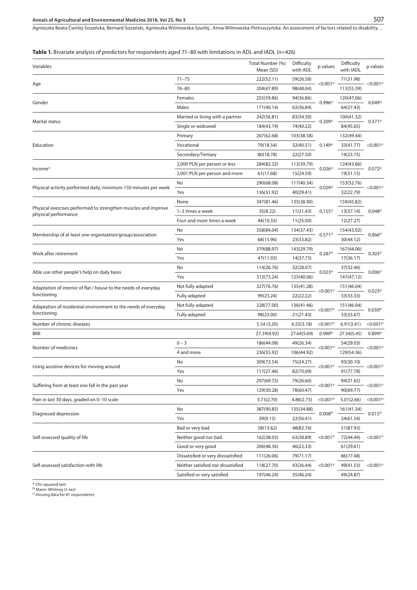**Table 1.** Bivariate analysis of predictors for respondents aged 71–80 with limitations in ADL and IADL (n=426)

| Variables                                                                              |                                    | Total Number (%)<br>Mean (SD) | Difficulty<br>with ADL | p values                | Difficulty<br>with IADL | p values                |
|----------------------------------------------------------------------------------------|------------------------------------|-------------------------------|------------------------|-------------------------|-------------------------|-------------------------|
| Age                                                                                    | $71 - 75$                          | 222(52.11)                    | 59(26.58)              |                         | 71(31.98)               | $<$ 0.001a)             |
|                                                                                        | $76 - 80$                          | 204(47.89)                    | 98(48.04)              | $<$ 0.001 <sup>a)</sup> | 113(55.39)              |                         |
| Gender                                                                                 | Females                            | 255(59.86)                    | 94(36.86)              |                         | 120(47.06)              | 0.049a)                 |
|                                                                                        | Males                              | 171(40.14)                    | 63(36.84)              | $0.996a}$               | 64(37.43)               |                         |
| Marital status                                                                         | Married or living with a partner   | 242(56.81)                    | 83(34.30)              |                         | 100(41.32)              | 0.371a)                 |
|                                                                                        | Single or widowed                  | 184(43.19)                    | 74(40.22)              | 0.209a)                 | 84(45.65)               |                         |
| Education                                                                              | Primary                            | 267(62.68)                    | 103(38.58)             | 0.149a                  | 132(49.44)              | $<$ 0.001a)             |
|                                                                                        | Vocational                         | 79(18.54)                     | 32(40.51)              |                         | 33(41.77)               |                         |
|                                                                                        | Secondary/Tertiary                 | 80(18.78)                     | 22(27.50)              |                         | 19(23.75)               |                         |
| Income <sup>c)</sup>                                                                   | 2,000 PLN per person or less       | 284(82.32)                    | 113(39.79)             |                         | 124(43.66)              | 0.072a)                 |
|                                                                                        | 2,001 PLN per person and more      | 61(17.68)                     | 15(24.59)              | 0.026a                  | 19(31.15)               |                         |
| Physical activity performed daily, minimum 150 minutes per week                        | No                                 | 290(68.08)                    | 117(40.34)             |                         | 153(52.76)              | $<$ 0.001a)             |
|                                                                                        | Yes                                | 136(31.92)                    | 40(29.41)              | 0.029a)                 | 32(22.79)               |                         |
| Physical exercises performed to strengthen muscles and improve<br>physical performance | None                               | 347(81.46)                    | 135(38.90)             |                         | 159(45.82)              | 0.048a)                 |
|                                                                                        | 1-3 times a week                   | 35(8.22)                      | 11(31.43)              | 0.155a                  | 13(37.14)               |                         |
|                                                                                        | Four and more times a week         | 44(10.33)                     | 11(25.00)              |                         | 12(27.27)               |                         |
| Membership of at least one organization/group/association                              | No                                 | 358(84.04)                    | 134(37.43)             | 0.571a)                 | 154(43.02)              | 0.866a)                 |
|                                                                                        | Yes                                | 68(15.96)                     | 23(33.82)              |                         | 30(44.12)               |                         |
| Work after retirement                                                                  | No                                 | 379(88.97)                    | 143(29.79)             | 0.287a)                 | 167(44.06)              | 0.303a)                 |
|                                                                                        | Yes                                | 47(11.03)                     | 14(37.73)              |                         | 17(36.17)               |                         |
| Able use other people's help on daily basis                                            | No                                 | 114(26.76)                    | 32(28.07)              | 0.023a)                 | 37(32.46)               | 0.006a)                 |
|                                                                                        | Yes                                | 312(73.24)                    | 125(40.06)             |                         | 147(47.12)              |                         |
| Adaptation of interior of flat / house to the needs of everyday<br>functioning         | Not fully adapted                  | 327(76.76)                    | 135(41.28)             |                         | 151(46.04)              | 0.023a)                 |
|                                                                                        | Fully adapted                      | 99(23.24)                     | 22(22.22)              | $<$ 0.001a)             | 33(33.33)               |                         |
| Adaptation of residential environment to the needs of everyday<br>functioning          | Not fully adapted                  | 328(77.00)                    | 136(41.46)             |                         | 151(46.04)              | 0.030 <sup>b</sup>      |
|                                                                                        | Fully adapted                      | 98(23.00)                     | 21(21.43)              | < 0.001 <sup>b</sup>    | 33(33.67)               |                         |
| Number of chronic diseases                                                             |                                    | 5.54(3.20)                    | 6.55(3.18)             | < 0.001 <sup>b</sup>    | 6.91(3.41)              | $<$ 0.001b)             |
| BMI                                                                                    |                                    | 27.39(4.92)                   | 27.64(5.69)            | $0.990^{b}$             | 27.56(5.45)             | 0.899 <sup>b)</sup>     |
| Number of medicines                                                                    | $0 - 3$                            | 186(44.08)                    | 49(26.34)              |                         | 54(29.03)               | $<$ 0.001 <sup>a)</sup> |
|                                                                                        | 4 and more                         | 236(55.92)                    | 106(44.92)             | $<$ 0.001a)             | 129(54.36)              |                         |
| Using assistive devices for moving around                                              | No                                 | 309(72.54)                    | 75(24.27)              |                         | 93(30.10)               | $<$ 0.001a)             |
|                                                                                        | Yes                                | 117(27.46)                    | 82(70.09)              | $<$ 0.001 <sup>a)</sup> | 91(77.78)               |                         |
| Suffering from at least one fall in the past year                                      | No                                 | 297(69.72)                    | 79(26.60)              |                         | 94(31.65)               | $<$ 0.001a)             |
|                                                                                        | Yes                                | 129(30.28)                    | 78(60.47)              | $<$ 0.001a)             | 90(69.77)               |                         |
| Pain in last 30 days, graded on 0-10 scale                                             |                                    | 3.73(2.70)                    | 4.86(2.73)             | $<$ 0.001b)             | 5.01(2.66)              | $<$ 0.001 <sup>b)</sup> |
| Diagnosed depression                                                                   | No                                 | 387(90.85)                    | 135(34.88)             | 0.008 <sup>b)</sup>     | 161(41.34)              | $0.015^{b}$             |
|                                                                                        | Yes                                | 39(9.15)                      | 22(56.41)              |                         | 24(61.54)               |                         |
| Self-assessed quality of life                                                          | Bad or very bad                    | 58(13.62)                     | 48(82.76)              |                         | 51(87.93)               |                         |
|                                                                                        | Neither good nor bad               | 162(38.03)                    | 63(38.89)              | $<$ 0.001 <sup>a)</sup> | 72(44.44)               | $<$ 0.001a)             |
|                                                                                        | Good or very good                  | 206(48.36)                    | 46(22.33)              |                         | 61(29.61)               |                         |
| Self-assessed satisfaction with life                                                   | Dissatisfied or very disssatisfied | 111(26.06)                    | 79(71.17)              |                         | 86(77.48)               | < 0.001a                |
|                                                                                        | Neither satisfied nor dissatisfied | 118(27.70)                    | 43(36.44)              | $<$ 0.001a)             | 49(41.53)               |                         |
|                                                                                        | Satisfied or very satisfied        | 197(46.24)                    | 35(46.24)              |                         | 49(24.87)               |                         |
|                                                                                        |                                    |                               |                        |                         |                         |                         |

<sup>a)</sup> Chi-squared test<br><sup>b)</sup> Mann-Whitney U-test<br><sup>c)</sup> missing data for 81 respondents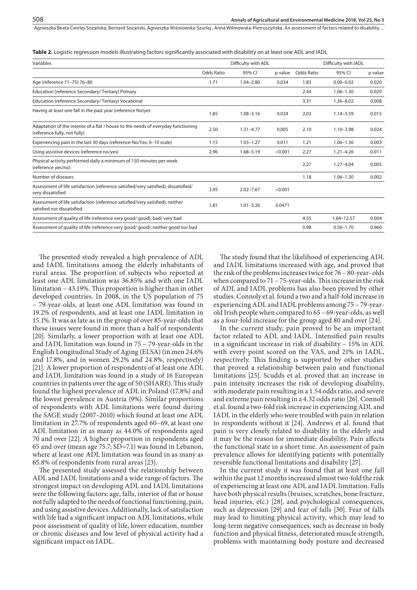**Table 2.** Logistic regression models illustrating factors significantly associated with disability on at least one ADL and IADL

| Variables                                                                                                         |            | Difficulty with ADL |         |            | Difficulty with IADL |         |
|-------------------------------------------------------------------------------------------------------------------|------------|---------------------|---------|------------|----------------------|---------|
|                                                                                                                   | Odds Ratio | 95% CI              | p value | Odds Ratio | 95% CI               | p value |
| Age (reference 71-75) 76-80                                                                                       | 1.71       | $1.04 - 2.80$       | 0.034   | 1.83       | $0.00 - 0.02$        | 0.020   |
| Education (reference Secondary/Tertiary) Primary                                                                  |            |                     |         | 2.44       | $1.06 - 1.30$        | 0.020   |
| Education (reference Secondary/Tertiary) Vocational                                                               |            |                     |         | 3.31       | $1.36 - 8.02$        | 0.008   |
| Having at least one fall in the past year (reference No)yes                                                       | 1.85       | $1.08 - 3.16$       | 0.024   | 2.03       | $1.14 - 3.59$        | 0.015   |
| Adaptation of the interior of a flat / house to the needs of everyday functioning<br>(reference fully, not fully) | 2.50       | $1.31 - 4.77$       | 0.005   | 2.10       | $1.10 - 3.98$        | 0.024   |
| Experiencing pain in the last 30 days (reference No/Yes; 0-10 scale)                                              | 1.15       | $1.03 - 1.27$       | 0.011   | 1.21       | $1.06 - 1.36$        | 0.003   |
| Using assistive devices (reference no/yes)                                                                        | 2.96       | $1.68 - 5.19$       | < 0.001 | 2.27       | $1.21 - 4.26$        | 0.011   |
| Physical activity performed daily a minimum of 150 minutes per week<br>(reference yes/no)                         |            |                     |         | 2.27       | $1.27 - 4.04$        | 0.005   |
| Number of diseases                                                                                                |            |                     |         | 1.18       | $1.06 - 1.30$        | 0.002   |
| Assessment of life satisfaction (reference satisfied/very satisfied); dissatisfied/<br>very dissatisfied          | 3.95       | $2.02 - 7.67$       | < 0.001 |            |                      |         |
| Assessment of life satisfaction (reference satisfied/very satisfied); neither<br>satisfied nor dissatisfied       | 1.81       | $1.01 - 3.26$       | 0.0471  |            |                      |         |
| Assessment of quality of life (reference very good/ good); bad/ very bad                                          |            |                     |         | 4.55       | $1.64 - 12.57$       | 0.004   |
| Assessment of quality of life (reference very good/ good); neither good nor bad                                   |            |                     |         | 0.98       | $0.56 - 1.70$        | 0.960   |
|                                                                                                                   |            |                     |         |            |                      |         |

The presented study revealed a high prevalence of ADL and IADL limitations among the elderly inhabitants of rural areas. The proportion of subjects who reported at least one ADL limitation was 36.85% and with one IADL limitation – 43.19%. This proportion is higher than in other developed countries. In 2008, in the US population of 75 – 79-year-olds, at least one ADL limitation was found in 19.2% of respondents, and at least one IADL limitation in 15.1%. It was as late as in the group of over 85-year-olds that these issues were found in more than a half of respondents [20]. Similarly, a lower proportion with at least one ADL and IADL limitation was found in 75 – 79-year-olds in the English Longitudinal Study of Aging (ELSA) (in men 24.6% and 17.8%, and in women 29.2% and 24.8%, respectively) [21]. A lower proportion of respondents of at least one ADL and IADL limitation was found in a study of 16 European countries in patients over the age of 50 (SHARE). This study found the highest prevalence of ADL in Poland (17.8%) and the lowest prevalence in Austria (9%). Similar proportions of respondents with ADL limitations were found during the SAGE study (2007–2010) which found at least one ADL limitation in 27.7% of respondents aged 60–69, at least one ADL limitation in as many as 44.0% of respondents aged 70 and over [22]. A higher proportion in respondents aged 65 and over (mean age 75.7; SD=7.1) was found in Lebanon, where at least one ADL limitation was found in as many as 65.8% of respondents from rural areas [23].

The presented study assessed the relationship between ADL and IADL limitations and a wide range of factors. The strongest impact on developing ADL and IADL limitations were the following factors: age, falls, interior of flat or house not fully adapted to the needs of functional functioning, pain, and using assistive devices. Additionally, lack of satisfaction with life had a significant impact on ADL limitations, while poor assessment of quality of life, lower education, number or chronic diseases and low level of physical activity had a significant impact on IADL.

The study found that the likelihood of experiencing ADL and IADL limitations increased with age, and proved that the risk of the problems increases twice for 76 – 80-year- olds when compared to 71 – 75-year-olds. This increase in the risk of ADL and IADL problems has also been proved by other studies. Connoly et al. found a two and a half-fold increase in experiencing ADL and IADL problems among 75 – 79-yearold Irish people when compared to 65 – 69-year-olds, as well as a four-fold increase for the group aged 80 and over [24].

In the current study, pain proved to be an important factor related to ADL and IADL. Intensified pain results in a significant increase in risk of disability – 15% in ADL with every point scored on the VAS, and 21% in IADL, respectively. This finding is supported by other studies that proved a relationship between pain and functional limitations [25]. Scudds et al. proved that an increase in pain intensity increases the risk of developing disability, with moderate pain resulting in a 1.54 odds ratio, and severe and extreme pain resulting in a 4.32 odds ratio [26]. Connoll et al. found a two-fold risk increase in experiencing ADL and IADL in the elderly who were troubled with pain in relation to respondents without it [24]. Andrews et al. found that pain is very closely related to disability in the elderly and it may be the reason for immediate disability. Pain affects the functional state in a short time. An assessment of pain prevalence allows for identifying patients with potentially reversible functional limitations and disability [27].

In the current study it was found that at least one fall within the past 12 months increased almost two-fold the risk of experiencing at least one ADL and IADL limitation. Falls have both physical results (bruises, scratches, bone fracture, head injuries, etc.) [28], and psychological consequences, such as depression [29] and fear of falls [30]. Fear of falls may lead to limiting physical activity, which may lead to long-term negative consequences, such as decrease in body function and physical fitness, deteriorated muscle strength, problems with maintaining body posture and decreased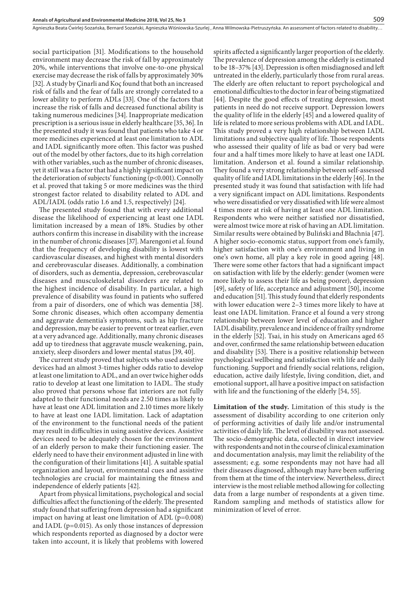social participation [31]. Modifications to the household environment may decrease the risk of fall by approximately 20%, while interventions that involve one-to-one physical exercise may decrease the risk of falls by approximately 30% [32]. A study by Çinarli and Koç found that both an increased risk of falls and the fear of falls are strongly correlated to a lower ability to perform ADLs [33]. One of the factors that increase the risk of falls and decreased functional ability is taking numerous medicines [34]. Inappropriate medication prescription is a serious issue in elderly healthcare [35, 36]. In the presented study it was found that patients who take 4 or more medicines experienced at least one limitation to ADL and IADL significantly more often. This factor was pushed out of the model by other factors, due to its high correlation with other variables, such as the number of chronic diseases, yet it still was a factor that had a highly significant impact on the deterioration of subjects' functioning (p<0.001). Connolly et al. proved that taking 5 or more medicines was the third strongest factor related to disability related to ADL and ADL/IADL (odds ratio 1.6 and 1.5, respectively) [24].

The presented study found that with every additional disease the likelihood of experiencing at least one IADL limitation increased by a mean of 18%. Studies by other authors confirm this increase in disability with the increase in the number of chronic diseases [37]. Marengoni et al. found that the frequency of developing disability is lowest with cardiovascular diseases, and highest with mental disorders and cerebrovascular diseases. Additionally, a combination of disorders, such as dementia, depression, cerebrovascular diseases and musculoskeletal disorders are related to the highest incidence of disability. In particular, a high prevalence of disability was found in patients who suffered from a pair of disorders, one of which was dementia [38]. Some chronic diseases, which often accompany dementia and aggravate dementia's symptoms, such as hip fracture and depression, may be easier to prevent or treat earlier, even at a very advanced age. Additionally, many chronic diseases add up to tiredness that aggravate muscle weakening, pain, anxiety, sleep disorders and lower mental status [39, 40].

The current study proved that subjects who used assistive devices had an almost 3-times higher odds ratio to develop at least one limitation to ADL, and an over twice higher odds ratio to develop at least one limitation to IADL. The study also proved that persons whose flat interiors are not fully adapted to their functional needs are 2.50 times as likely to have at least one ADL limitation and 2.10 times more likely to have at least one IADL limitation. Lack of adaptation of the environment to the functional needs of the patient may result in difficulties in using assistive devices. Assistive devices need to be adequately chosen for the environment of an elderly person to make their functioning easier. The elderly need to have their environment adjusted in line with the configuration of their limitations [41]. A suitable spatial organization and layout, environmental cues and assistive technologies are crucial for maintaining the fitness and independence of elderly patients [42].

Apart from physical limitations, psychological and social difficulties affect the functioning of the elderly. The presented study found that suffering from depression had a significant impact on having at least one limitation of ADL (p=0.008) and IADL (p=0.015). As only those instances of depression which respondents reported as diagnosed by a doctor were taken into account, it is likely that problems with lowered spirits affected a significantly larger proportion of the elderly. The prevalence of depression among the elderly is estimated to be 18–37% [43]. Depression is often misdiagnosed and left untreated in the elderly, particularly those from rural areas. The elderly are often reluctant to report psychological and emotional difficulties to the doctor in fear of being stigmatized [44]. Despite the good effects of treating depression, most patients in need do not receive support. Depression lowers the quality of life in the elderly [45] and a lowered quality of life is related to more serious problems with ADL and IADL. This study proved a very high relationship between IADL limitations and subjective quality of life. Those respondents who assessed their quality of life as bad or very bad were four and a half times more likely to have at least one IADL limitation. Anderson et al. found a similar relationship. They found a very strong relationship between self-assessed quality of life and IADL limitations in the elderly [46]. In the presented study it was found that satisfaction with life had a very significant impact on ADL limitations. Respondents who were dissatisfied or very dissatisfied with life were almost 4 times more at risk of having at least one ADL limitation. Respondents who were neither satisfied nor dissatisfied, were almost twice more at risk of having an ADL limitation. Similar results were obtained by Buliński and Błachnia [47]. A higher socio-economic status, support from one's family, higher satisfaction with one's environment and living in one's own home, all play a key role in good ageing [48]. There were some other factors that had a significant impact on satisfaction with life by the elderly: gender (women were more likely to assess their life as being poorer), depression [49], safety of life, acceptance and adjustment [50], income and education [51]. This study found that elderly respondents with lower education were 2–3 times more likely to have at least one IADL limitation. France et al found a very strong relationship between lower level of education and higher IADL disability, prevalence and incidence of frailty syndrome in the elderly [52]. Tsai, in his study on Americans aged 65 and over, confirmed the same relationship between education and disability [53]. There is a positive relationship between psychological wellbeing and satisfaction with life and daily functioning. Support and friendly social relations, religion, education, active daily lifestyle, living condition, diet, and emotional support, all have a positive impact on satisfaction with life and the functioning of the elderly [54, 55].

509

**Limitation of the study.** Limitation of this study is the assessment of disability according to one criterion only of performing activities of daily life and/or instrumental activities of daily life. The level of disability was not assessed. The socio-demographic data, collected in direct interview with respondents and not in the course of clinical examination and documentation analysis, may limit the reliability of the assessment; e.g. some respondents may not have had all their diseases diagnosed, although may have been suffering from them at the time of the interview. Nevertheless, direct interview is the most reliable method allowing for collecting data from a large number of respondents at a given time. Random sampling and methods of statistics allow for minimization of level of error.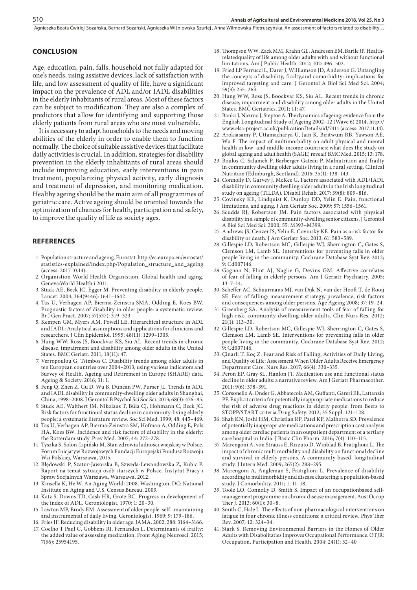#### **CONCLUSION**

Age, education, pain, falls, household not fully adapted for one's needs, using assistive devices, lack of satisfaction with life, and low assessment of quality of life, have a significant impact on the prevalence of ADL and/or IADL disabilities in the elderly inhabitants of rural areas. Most of these factors can be subject to modification. They are also a complex of predictors that allow for identifying and supporting those elderly patients from rural areas who are most vulnerable.

It is necessary to adapt households to the needs and moving abilities of the elderly in order to enable them to function normally. The choice of suitable assistive devices that facilitate daily activities is crucial. In addition, strategies for disability prevention in the elderly inhabitants of rural areas should include improving education, early interventions in pain treatment, popularizing physical activity, early diagnosis and treatment of depression, and monitoring medication. Healthy ageing should be the main aim of all programmes of geriatric care. Active ageing should be oriented towards the optimization of chances for health, participation and safety, to improve the quality of life as society ages.

#### **REFERENCES**

- 1. Population structure and ageing. Eurostat. http://ec.europa.eu/eurostat/ statistics-explained/index.php/Population\_structure\_and\_ageing (access: 2017.10.14).
- 2. Organistion World Health Organistion. Global health and aging. Geneva:World Health i 2011.
- 3. Stuck AE, Beck JC, Egger M. Preventing disability in elderly people. Lancet. 2004; 364(9446): 1641–1642.
- 4. Tas U, Verhagen AP, Bierma-Zeinstra SMA, Odding E, Koes BW. Prognostic factors of disability in older people: a systematic review. Br J Gen Pract. 2007; 57(537): 319–323.
- 5. Kempen GM, Myers AM, Powell LE. Hierarchical structure in ADL and IADL: Analytical assumptions and applications for clinicians and researchers. J Clin Epidemiol. 1995; 48(11): 1299–1305.
- 6. Hung WW, Ross JS, Boockvar KS, Siu AL. Recent trends in chronic disease, impairment and disability among older adults in the United States. BMC Geriatr. 2011; 18(11): 47.
- 7. Verropoulou G, Tsimbos C. Disability trends among older adults in ten European countries over 2004–2013, using various indicators and Survey of Health, Ageing and Retirement in Europe (SHARE) data. Ageing & Society. 2016; 31: 1.
- 8. Feng Q, Zhen Z, Gu D, Wu B, Duncan PW, Purser JL. Trends in ADL and IADL disability in community-dwelling older adults in Shanghai, China, 1998–2008. J Gerontol B Psychol Sci Soc Sci. 2013; 68(3): 476–85.
- 9. Stuck AE, Walthert JM, Nikolaus T, Büla CJ, Hohmann C, Beck JC. Risk factors for functional status decline in community-living elderly people: a systematic literature review. Soc Sci Med. 1999; 48: 445–469.
- 10. Taş U, Verhagen AP, Bierma-Zeinstra SM, Hofman A, Odding E, Pols HA, Koes BW. Incidence and risk factors of disability in the elderly: the Rotterdam study. Prev Med. 2007; 44: 272–278.
- 11. Tyszka S, Solon-Lipiński M. Stan zdrowia ludności wiejskiej w Polsce. Forum Inicjatyw Rozwojowych Fundacji Europejski Fundusz Rozwoju Wsi Polskiej, Warszawa, 2015.
- 12. Błędowski P, Szatur-Jaworska B, Szweda-Lewandowska Z, Kubic P. Raport na temat sytuacji osób starszych w Polsce. Instytut Pracy i Spraw Socjalnych Warszawa, Warszawa, 2012.
- 13. Kinsella K, He W. An Aging World: 2008. Washington, DC: National Institute on Aging and U.S. Census Bureau, 2009.
- 14. Katz S, Downs TD, Cash HR, Grotz RC. Progress in development of the index of ADL. Gerontologist. 1970; 1: 20–30.
- 15. Lawton MP, Brody EM. Assessment of older people: self--maintaining and instrumental of daily living. Gerontologist. 1969; 9: 179–186.
- 16. Fries JF. Reducing disability in older age. JAMA. 2002; 288: 3164–3166. 17. Coelho T Paul C, Gobbens RJ, Fernandes L. Determinants of frailty:
- the added value of assessing medication. Front Aging Neurosci. 2015; 7(56): 25954195.
- 18. Thompson WW, Zack MM, Krahn GL, Andresen EM, Barile JP. Healthrelatedquality of life among older adults with and without functional limitations. Am J Public Health. 2012; 102: 496–502.
- 19. Fried LP Ferrucci L, Darer J, Williamson JD, Anderson G. Untangling the concepts of disability, frailty,and comorbidity: implications for improved targeting and care. J Gerontol A Biol Sci Med Sci. 2004; 59(3): 255–263.
- 20. Hung WW, Ross JS, Boockvar KS, Siu AL. Recent trends in chronic disease, impairment and disability among older adults in the United States. BMC Geriatrics. 2011; 11: 47.
- 21. Banks J, Nazroo J, Steptoe A. The dynamics of ageing: evidence from the English Longitudinal Study of Ageing 2002–12 (Wave 6) 2014. http:// www.elsa-project.ac.uk/publicationDetails/id/7411 (access: 2017.11.14).
- 22. Arokiasamy P, Uttamacharya U, Jain K, Biritwum RB, Yawson AE, Wu F. The impact of multimorbidity on adult physical and mental health in low- and middle-income countries: what does the study on global ageing and adult health (SAGE) reveal? BMC Med. 2015; 13: 178.
- 23. Boulos C, Salameh P, Barberger-Gateau P. Malnutrition and frailty in community dwelling older adults living in a rural setting. Clinical Nutrition (Edinburgh, Scotland). 2016; 35(1): 138–143.
- 24. Connolly D, Garvey J, McKee G. Factors associated with ADL/IADL disability in community dwelling older adults in the Irish longitudinal study on ageing (TILDA). Disabil Rehab. 2017; 39(8): 809–816.
- 25. Covinsky KE, Lindquist K, Dunlop DD, Yelin E. Pain, functional limitations, and aging. J Am Geriatr Soc. 2009; 57: 1556–1561.
- 26. Scudds RJ, Robertson JM. Pain factors associated with physical disability in a sample of community-dwelling senior citizens. J Gerontol A Biol Sci Med Sci. 2000; 55: M393–M399.
- 27. Andrews JS, Cenzer IS, Yelin E, Covinsky KE. Pain as a risk factor for disability or death. J Am Geriatr Soc. 2013; 61: 583–589.
- 28. Gillespie LD, Robertson MC, Gillespie WJ, Sherrington C, Gates S, Clemson LM, Lamb SE. Interventions for preventing falls in older people living in the community. Cochrane Database Syst Rev. 2012; 9: Cd007146.
- 29. Gagnon N, Flint AJ, Naglie G, Devins GM. Affective correlates of fear of falling in elderly persons. Am J Geriatr Psychiatry. 2005; 13: 7–14.
- 30. Scheffer AC, Schuurmans MJ, van Dijk N, van der Hooft T, de Rooij SE. Fear of falling: measurement strategy, prevalence, risk factors and consequences among older persons. Age Ageing 2008; 37: 19–24.
- 31. Greenberg SA. Analysis of measurement tools of fear of falling for high-risk, community-dwelling older adults. Clin Nurs Res. 2012; 21(1): 113–30.
- 32. Gillespie LD, Robertson MC, Gillespie WJ, Sherrington C, Gates S, Clemson LM, Lamb SE. Interventions for preventing falls in older people living in the community. Cochrane Database Syst Rev. 2012; 9: Cd007146.
- 33. Çinarli T, Koç Z. Fear and Risk of Falling, Activities of Daily Living, and Quality of Life: Assessment When Older Adults Receive Emergency Department Care. Nurs Res. 2017; 66(4): 330–335.
- 34. Peron EP, Gray SL, Hanlon JT. Medication use and functional status decline in older adults: a narrative review. Am J Geriatr Pharmacother. 2011; 9(6): 378–391.
- 35. Corsonello A, Onder G, Abbatecola AM, Guffanti, Gareri EE, Lattanzio PF. Explicit criteria for potentially inappropriate medications to reduce the risk of adverse drug reactions in elderly people: from Beers to STOPP/START criteria.Drug Safety. 2012; 35 Suppl: 121–128.
- 36. Shah KN, Joshi HM, Christian RP, Patel KP, Malhotra SD. Prevalence of potentially inappropriate medications and prescription cost analysis among older cardiac patients in an outpatient department of a tertiary care hospital in India. J Basic Clin Pharm. 2016; 7(4): 110–115.
- 37. Marengoni A, von Strauss E, Rizzuto D, Winblad B, Fratiglioni L. The impact of chronic multimorbidity and disability on functional decline and survival in elderly persons. A community-based, longitudinal study. J Intern Med. 2009; 265(2): 288–295.
- 38. Marengoni A, Angleman S, Fratiglioni L. Prevalence of disability according to multimorbidity and disease clustering: a population-based study. J Comorbidity. 2011; 1: 11–18.
- 39. Toole LO, Connolly D, Smith S. Impact of an occupationbased selfmanagement programme on chronic disease management. Aust Occup Ther J. 2013; 60(1): 30–8.
- 40. Smith C, Hale L. The effects of non-pharmacological interventions on fatigue in four chronic illness conditions: a critical review. Phys Ther Rev. 2007; 12: 324–34.
- 41. Stark S. Removing Environmental Barriers in the Homes of Older Adults with Disabolitaties Improves Occupational Performance. OTJR: Occupation, Participation and Health. 2004; 24(1): 32–40